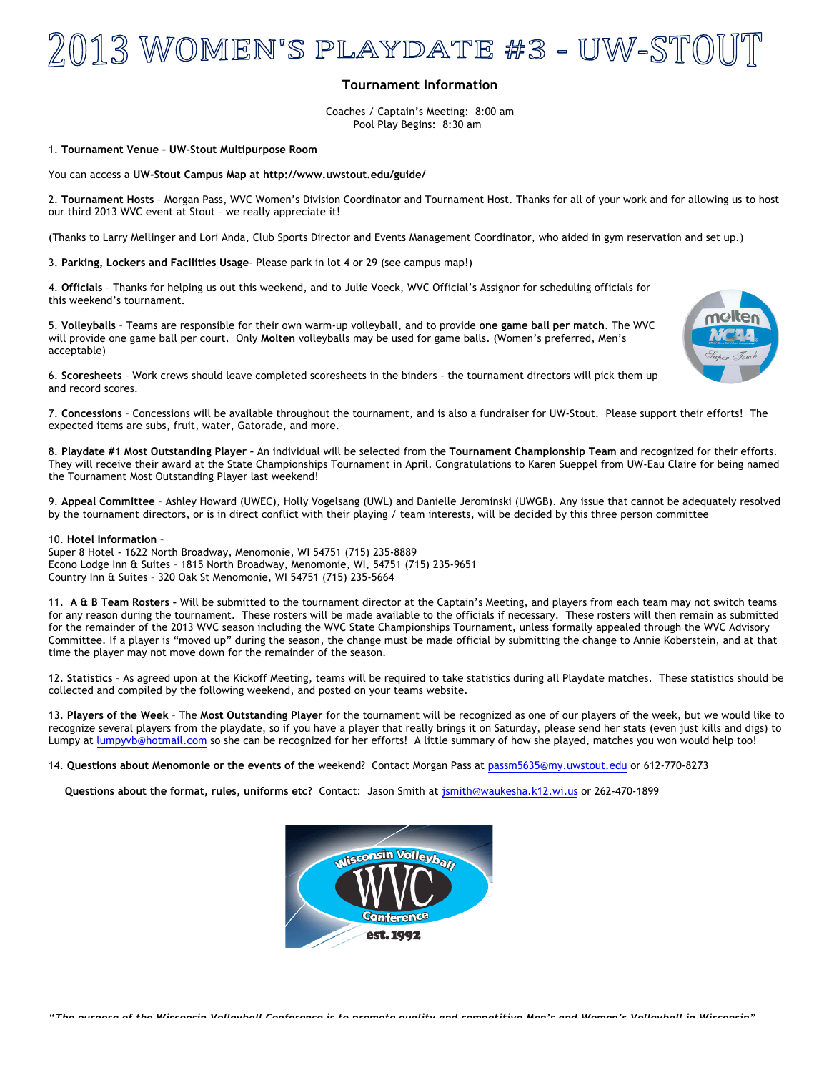## **Tournament Information**

Coaches / Captain's Meeting: 8:00 am Pool Play Begins: 8:30 am

## 1. **Tournament Venue – UW-Stout Multipurpose Room**

You can access a **UW-Stout Campus Map at http://www.uwstout.edu/guide/**

2. **Tournament Hosts** – Morgan Pass, WVC Women's Division Coordinator and Tournament Host. Thanks for all of your work and for allowing us to host our third 2013 WVC event at Stout – we really appreciate it!

(Thanks to Larry Mellinger and Lori Anda, Club Sports Director and Events Management Coordinator, who aided in gym reservation and set up.)

3. **Parking, Lockers and Facilities Usage**- Please park in lot 4 or 29 (see campus map!)

4. **Officials** – Thanks for helping us out this weekend, and to Julie Voeck, WVC Official's Assignor for scheduling officials for this weekend's tournament.

5. **Volleyballs** – Teams are responsible for their own warm-up volleyball, and to provide **one game ball per match**. The WVC will provide one game ball per court. Only **Molten** volleyballs may be used for game balls. (Women's preferred, Men's acceptable)



6. **Scoresheets** – Work crews should leave completed scoresheets in the binders - the tournament directors will pick them up and record scores.

7. **Concessions** – Concessions will be available throughout the tournament, and is also a fundraiser for UW-Stout. Please support their efforts! The expected items are subs, fruit, water, Gatorade, and more.

8. **Playdate #1 Most Outstanding Player –** An individual will be selected from the **Tournament Championship Team** and recognized for their efforts. They will receive their award at the State Championships Tournament in April. Congratulations to Karen Sueppel from UW-Eau Claire for being named the Tournament Most Outstanding Player last weekend!

9. **Appeal Committee** – Ashley Howard (UWEC), Holly Vogelsang (UWL) and Danielle Jerominski (UWGB). Any issue that cannot be adequately resolved by the tournament directors, or is in direct conflict with their playing / team interests, will be decided by this three person committee

10. **Hotel Information** –

Super 8 Hotel - 1622 North Broadway, Menomonie, WI 54751 (715) 235-8889 Econo Lodge Inn & Suites – 1815 North Broadway, Menomonie, WI, 54751 (715) 235-9651 Country Inn & Suites – 320 Oak St Menomonie, WI 54751 (715) 235-5664

11. **A & B Team Rosters –** Will be submitted to the tournament director at the Captain's Meeting, and players from each team may not switch teams for any reason during the tournament. These rosters will be made available to the officials if necessary. These rosters will then remain as submitted for the remainder of the 2013 WVC season including the WVC State Championships Tournament, unless formally appealed through the WVC Advisory Committee. If a player is "moved up" during the season, the change must be made official by submitting the change to Annie Koberstein, and at that time the player may not move down for the remainder of the season.

12. **Statistics** – As agreed upon at the Kickoff Meeting, teams will be required to take statistics during all Playdate matches. These statistics should be collected and compiled by the following weekend, and posted on your teams website.

13. **Players of the Week** – The **Most Outstanding Player** for the tournament will be recognized as one of our players of the week, but we would like to recognize several players from the playdate, so if you have a player that really brings it on Saturday, please send her stats (even just kills and digs) to Lumpy at lumpyvb@hotmail.com so she can be recognized for her efforts! A little summary of how she played, matches you won would help too!

14. **Questions about Menomonie or the events of the** weekend? Contact Morgan Pass at passm5635@my.uwstout.edu or 612-770-8273

**Questions about the format, rules, uniforms etc?** Contact: Jason Smith at jsmith@waukesha.k12.wi.us or 262-470-1899